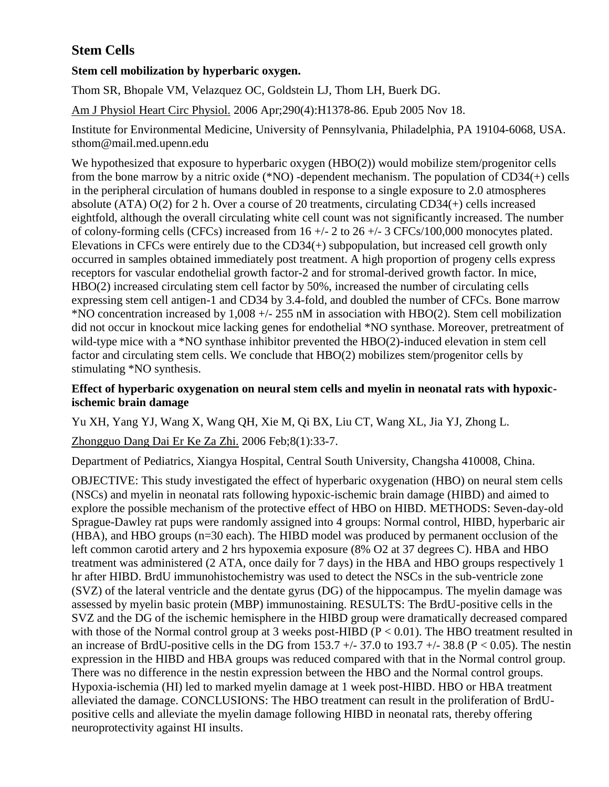# **Stem Cells**

# **Stem cell mobilization by hyperbaric oxygen.**

[Thom SR,](http://www.ncbi.nlm.nih.gov/entrez/query.fcgi?db=pubmed&cmd=Search&itool=pubmed_AbstractPlus&term=%22Thom+SR%22%5BAuthor%5D) [Bhopale VM,](http://www.ncbi.nlm.nih.gov/entrez/query.fcgi?db=pubmed&cmd=Search&itool=pubmed_AbstractPlus&term=%22Bhopale+VM%22%5BAuthor%5D) [Velazquez OC,](http://www.ncbi.nlm.nih.gov/entrez/query.fcgi?db=pubmed&cmd=Search&itool=pubmed_AbstractPlus&term=%22Velazquez+OC%22%5BAuthor%5D) [Goldstein LJ,](http://www.ncbi.nlm.nih.gov/entrez/query.fcgi?db=pubmed&cmd=Search&itool=pubmed_AbstractPlus&term=%22Goldstein+LJ%22%5BAuthor%5D) [Thom LH,](http://www.ncbi.nlm.nih.gov/entrez/query.fcgi?db=pubmed&cmd=Search&itool=pubmed_AbstractPlus&term=%22Thom+LH%22%5BAuthor%5D) [Buerk DG.](http://www.ncbi.nlm.nih.gov/entrez/query.fcgi?db=pubmed&cmd=Search&itool=pubmed_AbstractPlus&term=%22Buerk+DG%22%5BAuthor%5D)

[Am J Physiol Heart Circ Physiol.](javascript:AL_get(this,%20) 2006 Apr;290(4):H1378-86. Epub 2005 Nov 18.

Institute for Environmental Medicine, University of Pennsylvania, Philadelphia, PA 19104-6068, USA. sthom@mail.med.upenn.edu

We hypothesized that exposure to hyperbaric oxygen (HBO(2)) would mobilize stem/progenitor cells from the bone marrow by a nitric oxide (\*NO) -dependent mechanism. The population of CD34(+) cells in the peripheral circulation of humans doubled in response to a single exposure to 2.0 atmospheres absolute (ATA) O(2) for 2 h. Over a course of 20 treatments, circulating CD34(+) cells increased eightfold, although the overall circulating white cell count was not significantly increased. The number of colony-forming cells (CFCs) increased from  $16 +/- 2$  to  $26 +/- 3$  CFCs/100,000 monocytes plated. Elevations in CFCs were entirely due to the CD34(+) subpopulation, but increased cell growth only occurred in samples obtained immediately post treatment. A high proportion of progeny cells express receptors for vascular endothelial growth factor-2 and for stromal-derived growth factor. In mice, HBO(2) increased circulating stem cell factor by 50%, increased the number of circulating cells expressing stem cell antigen-1 and CD34 by 3.4-fold, and doubled the number of CFCs. Bone marrow \*NO concentration increased by 1,008 +/- 255 nM in association with HBO(2). Stem cell mobilization did not occur in knockout mice lacking genes for endothelial \*NO synthase. Moreover, pretreatment of wild-type mice with a \*NO synthase inhibitor prevented the HBO(2)-induced elevation in stem cell factor and circulating stem cells. We conclude that HBO(2) mobilizes stem/progenitor cells by stimulating \*NO synthesis.

## **Effect of hyperbaric oxygenation on neural stem cells and myelin in neonatal rats with hypoxicischemic brain damage**

[Yu XH,](http://www.ncbi.nlm.nih.gov/entrez/query.fcgi?db=pubmed&cmd=Search&itool=pubmed_AbstractPlus&term=%22Yu+XH%22%5BAuthor%5D) [Yang YJ,](http://www.ncbi.nlm.nih.gov/entrez/query.fcgi?db=pubmed&cmd=Search&itool=pubmed_AbstractPlus&term=%22Yang+YJ%22%5BAuthor%5D) [Wang X,](http://www.ncbi.nlm.nih.gov/entrez/query.fcgi?db=pubmed&cmd=Search&itool=pubmed_AbstractPlus&term=%22Wang+X%22%5BAuthor%5D) [Wang QH,](http://www.ncbi.nlm.nih.gov/entrez/query.fcgi?db=pubmed&cmd=Search&itool=pubmed_AbstractPlus&term=%22Wang+QH%22%5BAuthor%5D) [Xie M,](http://www.ncbi.nlm.nih.gov/entrez/query.fcgi?db=pubmed&cmd=Search&itool=pubmed_AbstractPlus&term=%22Xie+M%22%5BAuthor%5D) [Qi BX,](http://www.ncbi.nlm.nih.gov/entrez/query.fcgi?db=pubmed&cmd=Search&itool=pubmed_AbstractPlus&term=%22Qi+BX%22%5BAuthor%5D) [Liu CT,](http://www.ncbi.nlm.nih.gov/entrez/query.fcgi?db=pubmed&cmd=Search&itool=pubmed_AbstractPlus&term=%22Liu+CT%22%5BAuthor%5D) [Wang XL,](http://www.ncbi.nlm.nih.gov/entrez/query.fcgi?db=pubmed&cmd=Search&itool=pubmed_AbstractPlus&term=%22Wang+XL%22%5BAuthor%5D) [Jia YJ,](http://www.ncbi.nlm.nih.gov/entrez/query.fcgi?db=pubmed&cmd=Search&itool=pubmed_AbstractPlus&term=%22Jia+YJ%22%5BAuthor%5D) [Zhong L.](http://www.ncbi.nlm.nih.gov/entrez/query.fcgi?db=pubmed&cmd=Search&itool=pubmed_AbstractPlus&term=%22Zhong+L%22%5BAuthor%5D)

[Zhongguo Dang Dai Er Ke Za Zhi.](javascript:AL_get(this,%20) 2006 Feb;8(1):33-7.

Department of Pediatrics, Xiangya Hospital, Central South University, Changsha 410008, China.

OBJECTIVE: This study investigated the effect of hyperbaric oxygenation (HBO) on neural stem cells (NSCs) and myelin in neonatal rats following hypoxic-ischemic brain damage (HIBD) and aimed to explore the possible mechanism of the protective effect of HBO on HIBD. METHODS: Seven-day-old Sprague-Dawley rat pups were randomly assigned into 4 groups: Normal control, HIBD, hyperbaric air (HBA), and HBO groups (n=30 each). The HIBD model was produced by permanent occlusion of the left common carotid artery and 2 hrs hypoxemia exposure (8% O2 at 37 degrees C). HBA and HBO treatment was administered (2 ATA, once daily for 7 days) in the HBA and HBO groups respectively 1 hr after HIBD. BrdU immunohistochemistry was used to detect the NSCs in the sub-ventricle zone (SVZ) of the lateral ventricle and the dentate gyrus (DG) of the hippocampus. The myelin damage was assessed by myelin basic protein (MBP) immunostaining. RESULTS: The BrdU-positive cells in the SVZ and the DG of the ischemic hemisphere in the HIBD group were dramatically decreased compared with those of the Normal control group at 3 weeks post-HIBD ( $P < 0.01$ ). The HBO treatment resulted in an increase of BrdU-positive cells in the DG from  $153.7 +/- 37.0$  to  $193.7 +/- 38.8$  (P < 0.05). The nestin expression in the HIBD and HBA groups was reduced compared with that in the Normal control group. There was no difference in the nestin expression between the HBO and the Normal control groups. Hypoxia-ischemia (HI) led to marked myelin damage at 1 week post-HIBD. HBO or HBA treatment alleviated the damage. CONCLUSIONS: The HBO treatment can result in the proliferation of BrdUpositive cells and alleviate the myelin damage following HIBD in neonatal rats, thereby offering neuroprotectivity against HI insults.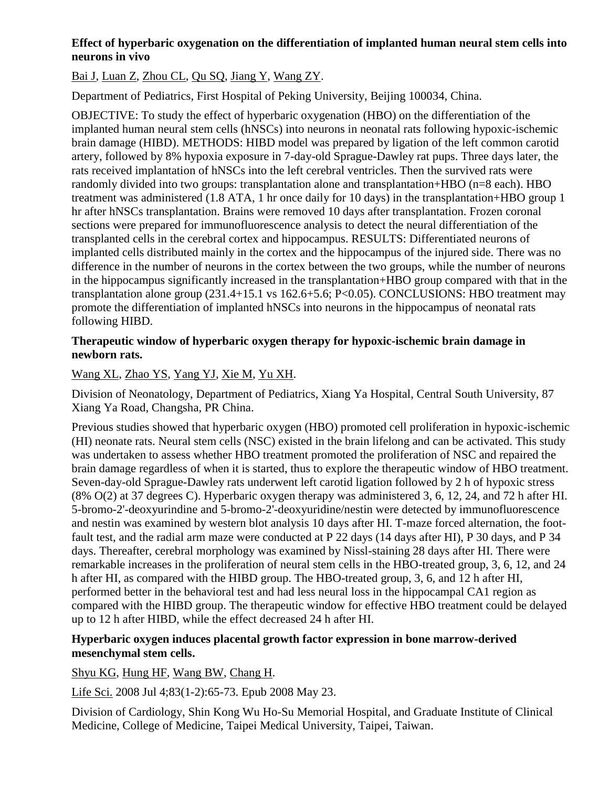# **Effect of hyperbaric oxygenation on the differentiation of implanted human neural stem cells into neurons in vivo**

# [Bai J,](http://www.ncbi.nlm.nih.gov/sites/entrez?Db=pubmed&Cmd=Search&Term=%22Bai%20J%22%5BAuthor%5D&itool=EntrezSystem2.PEntrez.Pubmed.Pubmed_ResultsPanel.Pubmed_DiscoveryPanel.Pubmed_RVAbstractPlus) [Luan Z,](http://www.ncbi.nlm.nih.gov/sites/entrez?Db=pubmed&Cmd=Search&Term=%22Luan%20Z%22%5BAuthor%5D&itool=EntrezSystem2.PEntrez.Pubmed.Pubmed_ResultsPanel.Pubmed_DiscoveryPanel.Pubmed_RVAbstractPlus) [Zhou CL,](http://www.ncbi.nlm.nih.gov/sites/entrez?Db=pubmed&Cmd=Search&Term=%22Zhou%20CL%22%5BAuthor%5D&itool=EntrezSystem2.PEntrez.Pubmed.Pubmed_ResultsPanel.Pubmed_DiscoveryPanel.Pubmed_RVAbstractPlus) [Qu SQ,](http://www.ncbi.nlm.nih.gov/sites/entrez?Db=pubmed&Cmd=Search&Term=%22Qu%20SQ%22%5BAuthor%5D&itool=EntrezSystem2.PEntrez.Pubmed.Pubmed_ResultsPanel.Pubmed_DiscoveryPanel.Pubmed_RVAbstractPlus) [Jiang Y,](http://www.ncbi.nlm.nih.gov/sites/entrez?Db=pubmed&Cmd=Search&Term=%22Jiang%20Y%22%5BAuthor%5D&itool=EntrezSystem2.PEntrez.Pubmed.Pubmed_ResultsPanel.Pubmed_DiscoveryPanel.Pubmed_RVAbstractPlus) [Wang ZY.](http://www.ncbi.nlm.nih.gov/sites/entrez?Db=pubmed&Cmd=Search&Term=%22Wang%20ZY%22%5BAuthor%5D&itool=EntrezSystem2.PEntrez.Pubmed.Pubmed_ResultsPanel.Pubmed_DiscoveryPanel.Pubmed_RVAbstractPlus)

Department of Pediatrics, First Hospital of Peking University, Beijing 100034, China.

OBJECTIVE: To study the effect of hyperbaric oxygenation (HBO) on the differentiation of the implanted human neural stem cells (hNSCs) into neurons in neonatal rats following hypoxic-ischemic brain damage (HIBD). METHODS: HIBD model was prepared by ligation of the left common carotid artery, followed by 8% hypoxia exposure in 7-day-old Sprague-Dawley rat pups. Three days later, the rats received implantation of hNSCs into the left cerebral ventricles. Then the survived rats were randomly divided into two groups: transplantation alone and transplantation+HBO (n=8 each). HBO treatment was administered (1.8 ATA, 1 hr once daily for 10 days) in the transplantation+HBO group 1 hr after hNSCs transplantation. Brains were removed 10 days after transplantation. Frozen coronal sections were prepared for immunofluorescence analysis to detect the neural differentiation of the transplanted cells in the cerebral cortex and hippocampus. RESULTS: Differentiated neurons of implanted cells distributed mainly in the cortex and the hippocampus of the injured side. There was no difference in the number of neurons in the cortex between the two groups, while the number of neurons in the hippocampus significantly increased in the transplantation+HBO group compared with that in the transplantation alone group (231.4+15.1 vs 162.6+5.6; P<0.05). CONCLUSIONS: HBO treatment may promote the differentiation of implanted hNSCs into neurons in the hippocampus of neonatal rats following HIBD.

### **Therapeutic window of hyperbaric oxygen therapy for hypoxic-ischemic brain damage in newborn rats.**

## [Wang XL,](http://www.ncbi.nlm.nih.gov/sites/entrez?Db=pubmed&Cmd=Search&Term=%22Wang%20XL%22%5BAuthor%5D&itool=EntrezSystem2.PEntrez.Pubmed.Pubmed_ResultsPanel.Pubmed_DiscoveryPanel.Pubmed_RVAbstractPlus) [Zhao YS,](http://www.ncbi.nlm.nih.gov/sites/entrez?Db=pubmed&Cmd=Search&Term=%22Zhao%20YS%22%5BAuthor%5D&itool=EntrezSystem2.PEntrez.Pubmed.Pubmed_ResultsPanel.Pubmed_DiscoveryPanel.Pubmed_RVAbstractPlus) [Yang YJ,](http://www.ncbi.nlm.nih.gov/sites/entrez?Db=pubmed&Cmd=Search&Term=%22Yang%20YJ%22%5BAuthor%5D&itool=EntrezSystem2.PEntrez.Pubmed.Pubmed_ResultsPanel.Pubmed_DiscoveryPanel.Pubmed_RVAbstractPlus) [Xie M,](http://www.ncbi.nlm.nih.gov/sites/entrez?Db=pubmed&Cmd=Search&Term=%22Xie%20M%22%5BAuthor%5D&itool=EntrezSystem2.PEntrez.Pubmed.Pubmed_ResultsPanel.Pubmed_DiscoveryPanel.Pubmed_RVAbstractPlus) [Yu XH.](http://www.ncbi.nlm.nih.gov/sites/entrez?Db=pubmed&Cmd=Search&Term=%22Yu%20XH%22%5BAuthor%5D&itool=EntrezSystem2.PEntrez.Pubmed.Pubmed_ResultsPanel.Pubmed_DiscoveryPanel.Pubmed_RVAbstractPlus)

Division of Neonatology, Department of Pediatrics, Xiang Ya Hospital, Central South University, 87 Xiang Ya Road, Changsha, PR China.

Previous studies showed that hyperbaric oxygen (HBO) promoted cell proliferation in hypoxic-ischemic (HI) neonate rats. Neural stem cells (NSC) existed in the brain lifelong and can be activated. This study was undertaken to assess whether HBO treatment promoted the proliferation of NSC and repaired the brain damage regardless of when it is started, thus to explore the therapeutic window of HBO treatment. Seven-day-old Sprague-Dawley rats underwent left carotid ligation followed by 2 h of hypoxic stress (8% O(2) at 37 degrees C). Hyperbaric oxygen therapy was administered 3, 6, 12, 24, and 72 h after HI. 5-bromo-2'-deoxyurindine and 5-bromo-2'-deoxyuridine/nestin were detected by immunofluorescence and nestin was examined by western blot analysis 10 days after HI. T-maze forced alternation, the footfault test, and the radial arm maze were conducted at P 22 days (14 days after HI), P 30 days, and P 34 days. Thereafter, cerebral morphology was examined by Nissl-staining 28 days after HI. There were remarkable increases in the proliferation of neural stem cells in the HBO-treated group, 3, 6, 12, and 24 h after HI, as compared with the HIBD group. The HBO-treated group, 3, 6, and 12 h after HI, performed better in the behavioral test and had less neural loss in the hippocampal CA1 region as compared with the HIBD group. The therapeutic window for effective HBO treatment could be delayed up to 12 h after HIBD, while the effect decreased 24 h after HI.

## **Hyperbaric oxygen induces placental growth factor expression in bone marrow-derived mesenchymal stem cells.**

[Shyu KG,](http://www.ncbi.nlm.nih.gov/sites/entrez?Db=pubmed&Cmd=Search&Term=%22Shyu%20KG%22%5BAuthor%5D&itool=EntrezSystem2.PEntrez.Pubmed.Pubmed_ResultsPanel.Pubmed_DiscoveryPanel.Pubmed_RVAbstractPlus) [Hung HF,](http://www.ncbi.nlm.nih.gov/sites/entrez?Db=pubmed&Cmd=Search&Term=%22Hung%20HF%22%5BAuthor%5D&itool=EntrezSystem2.PEntrez.Pubmed.Pubmed_ResultsPanel.Pubmed_DiscoveryPanel.Pubmed_RVAbstractPlus) [Wang BW,](http://www.ncbi.nlm.nih.gov/sites/entrez?Db=pubmed&Cmd=Search&Term=%22Wang%20BW%22%5BAuthor%5D&itool=EntrezSystem2.PEntrez.Pubmed.Pubmed_ResultsPanel.Pubmed_DiscoveryPanel.Pubmed_RVAbstractPlus) [Chang H.](http://www.ncbi.nlm.nih.gov/sites/entrez?Db=pubmed&Cmd=Search&Term=%22Chang%20H%22%5BAuthor%5D&itool=EntrezSystem2.PEntrez.Pubmed.Pubmed_ResultsPanel.Pubmed_DiscoveryPanel.Pubmed_RVAbstractPlus)

[Life Sci.](javascript:AL_get(this,%20) 2008 Jul 4;83(1-2):65-73. Epub 2008 May 23.

Division of Cardiology, Shin Kong Wu Ho-Su Memorial Hospital, and Graduate Institute of Clinical Medicine, College of Medicine, Taipei Medical University, Taipei, Taiwan.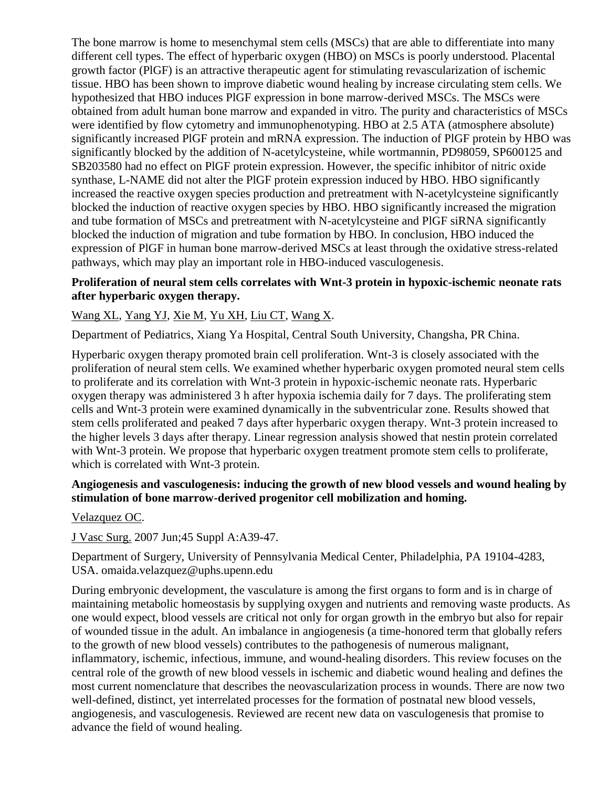The bone marrow is home to mesenchymal stem cells (MSCs) that are able to differentiate into many different cell types. The effect of hyperbaric oxygen (HBO) on MSCs is poorly understood. Placental growth factor (PlGF) is an attractive therapeutic agent for stimulating revascularization of ischemic tissue. HBO has been shown to improve diabetic wound healing by increase circulating stem cells. We hypothesized that HBO induces PlGF expression in bone marrow-derived MSCs. The MSCs were obtained from adult human bone marrow and expanded in vitro. The purity and characteristics of MSCs were identified by flow cytometry and immunophenotyping. HBO at 2.5 ATA (atmosphere absolute) significantly increased PlGF protein and mRNA expression. The induction of PlGF protein by HBO was significantly blocked by the addition of N-acetylcysteine, while wortmannin, PD98059, SP600125 and SB203580 had no effect on PlGF protein expression. However, the specific inhibitor of nitric oxide synthase, L-NAME did not alter the PlGF protein expression induced by HBO. HBO significantly increased the reactive oxygen species production and pretreatment with N-acetylcysteine significantly blocked the induction of reactive oxygen species by HBO. HBO significantly increased the migration and tube formation of MSCs and pretreatment with N-acetylcysteine and PlGF siRNA significantly blocked the induction of migration and tube formation by HBO. In conclusion, HBO induced the expression of PlGF in human bone marrow-derived MSCs at least through the oxidative stress-related pathways, which may play an important role in HBO-induced vasculogenesis.

### **Proliferation of neural stem cells correlates with Wnt-3 protein in hypoxic-ischemic neonate rats after hyperbaric oxygen therapy.**

# [Wang XL,](http://www.ncbi.nlm.nih.gov/sites/entrez?Db=pubmed&Cmd=Search&Term=%22Wang%20XL%22%5BAuthor%5D&itool=EntrezSystem2.PEntrez.Pubmed.Pubmed_ResultsPanel.Pubmed_DiscoveryPanel.Pubmed_RVAbstractPlus) [Yang YJ,](http://www.ncbi.nlm.nih.gov/sites/entrez?Db=pubmed&Cmd=Search&Term=%22Yang%20YJ%22%5BAuthor%5D&itool=EntrezSystem2.PEntrez.Pubmed.Pubmed_ResultsPanel.Pubmed_DiscoveryPanel.Pubmed_RVAbstractPlus) [Xie M,](http://www.ncbi.nlm.nih.gov/sites/entrez?Db=pubmed&Cmd=Search&Term=%22Xie%20M%22%5BAuthor%5D&itool=EntrezSystem2.PEntrez.Pubmed.Pubmed_ResultsPanel.Pubmed_DiscoveryPanel.Pubmed_RVAbstractPlus) [Yu XH,](http://www.ncbi.nlm.nih.gov/sites/entrez?Db=pubmed&Cmd=Search&Term=%22Yu%20XH%22%5BAuthor%5D&itool=EntrezSystem2.PEntrez.Pubmed.Pubmed_ResultsPanel.Pubmed_DiscoveryPanel.Pubmed_RVAbstractPlus) [Liu CT,](http://www.ncbi.nlm.nih.gov/sites/entrez?Db=pubmed&Cmd=Search&Term=%22Liu%20CT%22%5BAuthor%5D&itool=EntrezSystem2.PEntrez.Pubmed.Pubmed_ResultsPanel.Pubmed_DiscoveryPanel.Pubmed_RVAbstractPlus) [Wang X.](http://www.ncbi.nlm.nih.gov/sites/entrez?Db=pubmed&Cmd=Search&Term=%22Wang%20X%22%5BAuthor%5D&itool=EntrezSystem2.PEntrez.Pubmed.Pubmed_ResultsPanel.Pubmed_DiscoveryPanel.Pubmed_RVAbstractPlus)

Department of Pediatrics, Xiang Ya Hospital, Central South University, Changsha, PR China.

Hyperbaric oxygen therapy promoted brain cell proliferation. Wnt-3 is closely associated with the proliferation of neural stem cells. We examined whether hyperbaric oxygen promoted neural stem cells to proliferate and its correlation with Wnt-3 protein in hypoxic-ischemic neonate rats. Hyperbaric oxygen therapy was administered 3 h after hypoxia ischemia daily for 7 days. The proliferating stem cells and Wnt-3 protein were examined dynamically in the subventricular zone. Results showed that stem cells proliferated and peaked 7 days after hyperbaric oxygen therapy. Wnt-3 protein increased to the higher levels 3 days after therapy. Linear regression analysis showed that nestin protein correlated with Wnt-3 protein. We propose that hyperbaric oxygen treatment promote stem cells to proliferate, which is correlated with Wnt-3 protein.

#### **Angiogenesis and vasculogenesis: inducing the growth of new blood vessels and wound healing by stimulation of bone marrow-derived progenitor cell mobilization and homing.**

[Velazquez OC.](http://www.ncbi.nlm.nih.gov/sites/entrez?Db=pubmed&Cmd=Search&Term=%22Velazquez%20OC%22%5BAuthor%5D&itool=EntrezSystem2.PEntrez.Pubmed.Pubmed_ResultsPanel.Pubmed_DiscoveryPanel.Pubmed_RVAbstractPlus)

[J Vasc Surg.](javascript:AL_get(this,%20) 2007 Jun;45 Suppl A:A39-47.

Department of Surgery, University of Pennsylvania Medical Center, Philadelphia, PA 19104-4283, USA. omaida.velazquez@uphs.upenn.edu

During embryonic development, the vasculature is among the first organs to form and is in charge of maintaining metabolic homeostasis by supplying oxygen and nutrients and removing waste products. As one would expect, blood vessels are critical not only for organ growth in the embryo but also for repair of wounded tissue in the adult. An imbalance in angiogenesis (a time-honored term that globally refers to the growth of new blood vessels) contributes to the pathogenesis of numerous malignant, inflammatory, ischemic, infectious, immune, and wound-healing disorders. This review focuses on the central role of the growth of new blood vessels in ischemic and diabetic wound healing and defines the most current nomenclature that describes the neovascularization process in wounds. There are now two well-defined, distinct, yet interrelated processes for the formation of postnatal new blood vessels, angiogenesis, and vasculogenesis. Reviewed are recent new data on vasculogenesis that promise to advance the field of wound healing.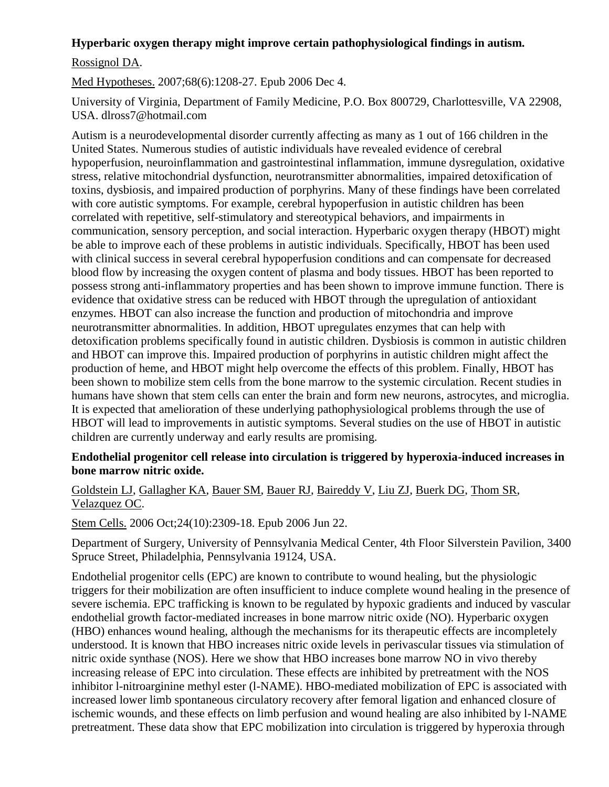## **Hyperbaric oxygen therapy might improve certain pathophysiological findings in autism.**

## [Rossignol DA.](http://www.ncbi.nlm.nih.gov/sites/entrez?Db=pubmed&Cmd=Search&Term=%22Rossignol%20DA%22%5BAuthor%5D&itool=EntrezSystem2.PEntrez.Pubmed.Pubmed_ResultsPanel.Pubmed_DiscoveryPanel.Pubmed_RVAbstractPlus)

[Med Hypotheses.](javascript:AL_get(this,%20) 2007;68(6):1208-27. Epub 2006 Dec 4.

University of Virginia, Department of Family Medicine, P.O. Box 800729, Charlottesville, VA 22908, USA. dlross7@hotmail.com

Autism is a neurodevelopmental disorder currently affecting as many as 1 out of 166 children in the United States. Numerous studies of autistic individuals have revealed evidence of cerebral hypoperfusion, neuroinflammation and gastrointestinal inflammation, immune dysregulation, oxidative stress, relative mitochondrial dysfunction, neurotransmitter abnormalities, impaired detoxification of toxins, dysbiosis, and impaired production of porphyrins. Many of these findings have been correlated with core autistic symptoms. For example, cerebral hypoperfusion in autistic children has been correlated with repetitive, self-stimulatory and stereotypical behaviors, and impairments in communication, sensory perception, and social interaction. Hyperbaric oxygen therapy (HBOT) might be able to improve each of these problems in autistic individuals. Specifically, HBOT has been used with clinical success in several cerebral hypoperfusion conditions and can compensate for decreased blood flow by increasing the oxygen content of plasma and body tissues. HBOT has been reported to possess strong anti-inflammatory properties and has been shown to improve immune function. There is evidence that oxidative stress can be reduced with HBOT through the upregulation of antioxidant enzymes. HBOT can also increase the function and production of mitochondria and improve neurotransmitter abnormalities. In addition, HBOT upregulates enzymes that can help with detoxification problems specifically found in autistic children. Dysbiosis is common in autistic children and HBOT can improve this. Impaired production of porphyrins in autistic children might affect the production of heme, and HBOT might help overcome the effects of this problem. Finally, HBOT has been shown to mobilize stem cells from the bone marrow to the systemic circulation. Recent studies in humans have shown that stem cells can enter the brain and form new neurons, astrocytes, and microglia. It is expected that amelioration of these underlying pathophysiological problems through the use of HBOT will lead to improvements in autistic symptoms. Several studies on the use of HBOT in autistic children are currently underway and early results are promising.

#### **Endothelial progenitor cell release into circulation is triggered by hyperoxia-induced increases in bone marrow nitric oxide.**

# [Goldstein LJ,](http://www.ncbi.nlm.nih.gov/sites/entrez?Db=pubmed&Cmd=Search&Term=%22Goldstein%20LJ%22%5BAuthor%5D&itool=EntrezSystem2.PEntrez.Pubmed.Pubmed_ResultsPanel.Pubmed_DiscoveryPanel.Pubmed_RVAbstractPlus) [Gallagher KA,](http://www.ncbi.nlm.nih.gov/sites/entrez?Db=pubmed&Cmd=Search&Term=%22Gallagher%20KA%22%5BAuthor%5D&itool=EntrezSystem2.PEntrez.Pubmed.Pubmed_ResultsPanel.Pubmed_DiscoveryPanel.Pubmed_RVAbstractPlus) [Bauer](http://www.ncbi.nlm.nih.gov/sites/entrez?Db=pubmed&Cmd=Search&Term=%22Bauer%20SM%22%5BAuthor%5D&itool=EntrezSystem2.PEntrez.Pubmed.Pubmed_ResultsPanel.Pubmed_DiscoveryPanel.Pubmed_RVAbstractPlus) SM, [Bauer RJ,](http://www.ncbi.nlm.nih.gov/sites/entrez?Db=pubmed&Cmd=Search&Term=%22Bauer%20RJ%22%5BAuthor%5D&itool=EntrezSystem2.PEntrez.Pubmed.Pubmed_ResultsPanel.Pubmed_DiscoveryPanel.Pubmed_RVAbstractPlus) [Baireddy V,](http://www.ncbi.nlm.nih.gov/sites/entrez?Db=pubmed&Cmd=Search&Term=%22Baireddy%20V%22%5BAuthor%5D&itool=EntrezSystem2.PEntrez.Pubmed.Pubmed_ResultsPanel.Pubmed_DiscoveryPanel.Pubmed_RVAbstractPlus) [Liu ZJ,](http://www.ncbi.nlm.nih.gov/sites/entrez?Db=pubmed&Cmd=Search&Term=%22Liu%20ZJ%22%5BAuthor%5D&itool=EntrezSystem2.PEntrez.Pubmed.Pubmed_ResultsPanel.Pubmed_DiscoveryPanel.Pubmed_RVAbstractPlus) [Buerk DG,](http://www.ncbi.nlm.nih.gov/sites/entrez?Db=pubmed&Cmd=Search&Term=%22Buerk%20DG%22%5BAuthor%5D&itool=EntrezSystem2.PEntrez.Pubmed.Pubmed_ResultsPanel.Pubmed_DiscoveryPanel.Pubmed_RVAbstractPlus) [Thom SR,](http://www.ncbi.nlm.nih.gov/sites/entrez?Db=pubmed&Cmd=Search&Term=%22Thom%20SR%22%5BAuthor%5D&itool=EntrezSystem2.PEntrez.Pubmed.Pubmed_ResultsPanel.Pubmed_DiscoveryPanel.Pubmed_RVAbstractPlus) [Velazquez OC.](http://www.ncbi.nlm.nih.gov/sites/entrez?Db=pubmed&Cmd=Search&Term=%22Velazquez%20OC%22%5BAuthor%5D&itool=EntrezSystem2.PEntrez.Pubmed.Pubmed_ResultsPanel.Pubmed_DiscoveryPanel.Pubmed_RVAbstractPlus)

[Stem Cells.](javascript:AL_get(this,%20) 2006 Oct;24(10):2309-18. Epub 2006 Jun 22.

Department of Surgery, University of Pennsylvania Medical Center, 4th Floor Silverstein Pavilion, 3400 Spruce Street, Philadelphia, Pennsylvania 19124, USA.

Endothelial progenitor cells (EPC) are known to contribute to wound healing, but the physiologic triggers for their mobilization are often insufficient to induce complete wound healing in the presence of severe ischemia. EPC trafficking is known to be regulated by hypoxic gradients and induced by vascular endothelial growth factor-mediated increases in bone marrow nitric oxide (NO). Hyperbaric oxygen (HBO) enhances wound healing, although the mechanisms for its therapeutic effects are incompletely understood. It is known that HBO increases nitric oxide levels in perivascular tissues via stimulation of nitric oxide synthase (NOS). Here we show that HBO increases bone marrow NO in vivo thereby increasing release of EPC into circulation. These effects are inhibited by pretreatment with the NOS inhibitor l-nitroarginine methyl ester (l-NAME). HBO-mediated mobilization of EPC is associated with increased lower limb spontaneous circulatory recovery after femoral ligation and enhanced closure of ischemic wounds, and these effects on limb perfusion and wound healing are also inhibited by l-NAME pretreatment. These data show that EPC mobilization into circulation is triggered by hyperoxia through